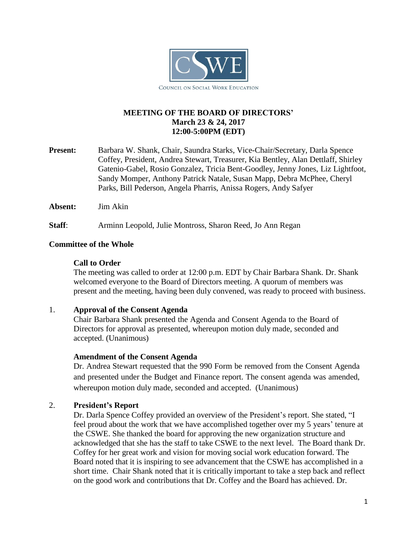

## **MEETING OF THE BOARD OF DIRECTORS' March 23 & 24, 2017 12:00-5:00PM (EDT)**

- **Present:** Barbara W. Shank, Chair, Saundra Starks, Vice-Chair/Secretary, Darla Spence Coffey, President, Andrea Stewart, Treasurer, Kia Bentley, Alan Dettlaff, Shirley Gatenio-Gabel, Rosio Gonzalez, Tricia Bent-Goodley, Jenny Jones, Liz Lightfoot, Sandy Momper, Anthony Patrick Natale, Susan Mapp, Debra McPhee, Cheryl Parks, Bill Pederson, Angela Pharris, Anissa Rogers, Andy Safyer
- **Absent:** Jim Akin

**Staff**: Arminn Leopold, Julie Montross, Sharon Reed, Jo Ann Regan

#### **Committee of the Whole**

#### **Call to Order**

The meeting was called to order at 12:00 p.m. EDT by Chair Barbara Shank. Dr. Shank welcomed everyone to the Board of Directors meeting. A quorum of members was present and the meeting, having been duly convened, was ready to proceed with business.

#### 1. **Approval of the Consent Agenda**

Chair Barbara Shank presented the Agenda and Consent Agenda to the Board of Directors for approval as presented, whereupon motion duly made, seconded and accepted. (Unanimous)

#### **Amendment of the Consent Agenda**

Dr. Andrea Stewart requested that the 990 Form be removed from the Consent Agenda and presented under the Budget and Finance report. The consent agenda was amended, whereupon motion duly made, seconded and accepted. (Unanimous)

### 2. **President's Report**

Dr. Darla Spence Coffey provided an overview of the President's report. She stated, "I feel proud about the work that we have accomplished together over my 5 years' tenure at the CSWE. She thanked the board for approving the new organization structure and acknowledged that she has the staff to take CSWE to the next level. The Board thank Dr. Coffey for her great work and vision for moving social work education forward. The Board noted that it is inspiring to see advancement that the CSWE has accomplished in a short time. Chair Shank noted that it is critically important to take a step back and reflect on the good work and contributions that Dr. Coffey and the Board has achieved. Dr.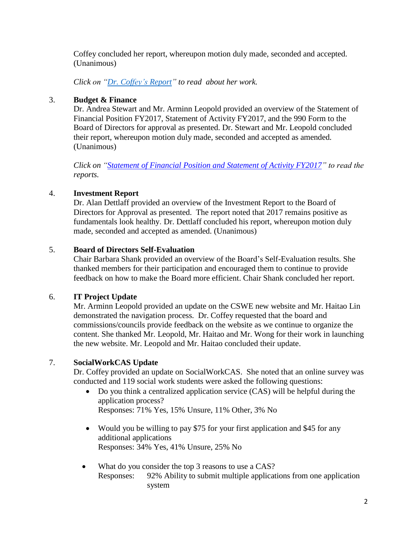Coffey concluded her report, whereupon motion duly made, seconded and accepted. (Unanimous)

*Click on ["Dr. Coffey's](https://cswe.org/getattachment/About-CSWE/Governance/Board-of-Directors/President-s-and-Programmatic-Reports/President-s-report-2017-final.pdf.aspx) Report" to read about her work.*

## 3. **Budget & Finance**

Dr. Andrea Stewart and Mr. Arminn Leopold provided an overview of the Statement of Financial Position FY2017, Statement of Activity FY2017, and the 990 Form to the Board of Directors for approval as presented. Dr. Stewart and Mr. Leopold concluded their report, whereupon motion duly made, seconded and accepted as amended. (Unanimous)

*Click on "Statement of Financial [Position and Statement](https://cswe.org/getattachment/About-CSWE/Governance/Board-of-Directors/Meeting-Minutes/FY-2017-December-31st-Financials.pdf.aspx) of Activity FY2017" to read the reports.*

# 4. **Investment Report**

Dr. Alan Dettlaff provided an overview of the Investment Report to the Board of Directors for Approval as presented. The report noted that 2017 remains positive as fundamentals look healthy. Dr. Dettlaff concluded his report, whereupon motion duly made, seconded and accepted as amended. (Unanimous)

### 5. **Board of Directors Self-Evaluation**

Chair Barbara Shank provided an overview of the Board's Self-Evaluation results. She thanked members for their participation and encouraged them to continue to provide feedback on how to make the Board more efficient. Chair Shank concluded her report.

### 6. **IT Project Update**

Mr. Arminn Leopold provided an update on the CSWE new website and Mr. Haitao Lin demonstrated the navigation process. Dr. Coffey requested that the board and commissions/councils provide feedback on the website as we continue to organize the content. She thanked Mr. Leopold, Mr. Haitao and Mr. Wong for their work in launching the new website. Mr. Leopold and Mr. Haitao concluded their update.

### 7. **SocialWorkCAS Update**

Dr. Coffey provided an update on SocialWorkCAS. She noted that an online survey was conducted and 119 social work students were asked the following questions:

- Do you think a centralized application service (CAS) will be helpful during the application process?
	- Responses: 71% Yes, 15% Unsure, 11% Other, 3% No
- Would you be willing to pay \$75 for your first application and \$45 for any additional applications Responses: 34% Yes, 41% Unsure, 25% No
- What do you consider the top 3 reasons to use a CAS? Responses: 92% Ability to submit multiple applications from one application system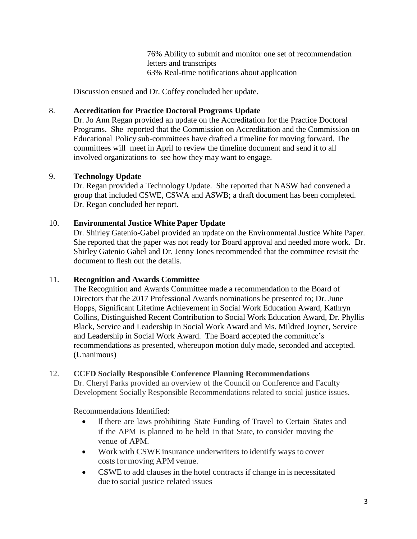76% Ability to submit and monitor one set of recommendation letters and transcripts 63% Real-time notifications about application

Discussion ensued and Dr. Coffey concluded her update.

### 8. **Accreditation for Practice Doctoral Programs Update**

Dr. Jo Ann Regan provided an update on the Accreditation for the Practice Doctoral Programs. She reported that the Commission on Accreditation and the Commission on Educational Policy sub-committees have drafted a timeline for moving forward. The committees will meet in April to review the timeline document and send it to all involved organizations to see how they may want to engage.

#### 9. **Technology Update**

Dr. Regan provided a Technology Update. She reported that NASW had convened a group that included CSWE, CSWA and ASWB; a draft document has been completed. Dr. Regan concluded her report.

#### 10. **Environmental Justice White Paper Update**

Dr. Shirley Gatenio-Gabel provided an update on the Environmental Justice White Paper. She reported that the paper was not ready for Board approval and needed more work. Dr. Shirley Gatenio Gabel and Dr. Jenny Jones recommended that the committee revisit the document to flesh out the details.

#### 11. **Recognition and Awards Committee**

The Recognition and Awards Committee made a recommendation to the Board of Directors that the 2017 Professional Awards nominations be presented to; Dr. June Hopps, Significant Lifetime Achievement in Social Work Education Award, Kathryn Collins, Distinguished Recent Contribution to Social Work Education Award, Dr. Phyllis Black, Service and Leadership in Social Work Award and Ms. Mildred Joyner, Service and Leadership in Social Work Award. The Board accepted the committee's recommendations as presented, whereupon motion duly made, seconded and accepted. (Unanimous)

#### 12. **CCFD Socially Responsible Conference Planning Recommendations**

Dr. Cheryl Parks provided an overview of the Council on Conference and Faculty Development Socially Responsible Recommendations related to social justice issues.

Recommendations Identified:

- If there are laws prohibiting State Funding of Travel to Certain States and if the APM is planned to be held in that State, to consider moving the venue of APM.
- Work with CSWE insurance underwriters to identify ways to cover costs for moving APM venue.
- CSWE to add clauses in the hotel contracts if change in is necessitated due to social justice related issues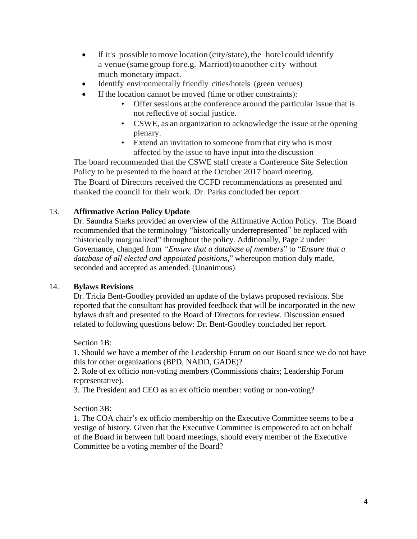- $\bullet$  If it's possible to move location (city/state), the hotel could identify a venue (same group fore.g. Marriott) to another city without much monetaryimpact.
- Identify environmentally friendly cities/hotels (green venues)
- If the location cannot be moved (time or other constraints):
	- Offer sessions at the conference around the particular issue that is not reflective of social justice.
	- CSWE, as an organization to acknowledge the issue at the opening plenary.
	- Extend an invitation to someone from that city who is most affected by the issue to have input into the discussion

The board recommended that the CSWE staff create a Conference Site Selection Policy to be presented to the board at the October 2017 board meeting. The Board of Directors received the CCFD recommendations as presented and thanked the council for their work. Dr. Parks concluded her report.

# 13. **Affirmative Action Policy Update**

Dr. Saundra Starks provided an overview of the Affirmative Action Policy. The Board recommended that the terminology "historically underrepresented" be replaced with "historically marginalized" throughout the policy. Additionally, Page 2 under Governance, changed from *"Ensure that a database of members*" to "*Ensure that a database of all elected and appointed positions,*" whereupon motion duly made, seconded and accepted as amended. (Unanimous)

### 14. **Bylaws Revisions**

Dr. Tricia Bent-Goodley provided an update of the bylaws proposed revisions. She reported that the consultant has provided feedback that will be incorporated in the new bylaws draft and presented to the Board of Directors for review. Discussion ensued related to following questions below: Dr. Bent-Goodley concluded her report.

Section 1B:

1. Should we have a member of the Leadership Forum on our Board since we do not have this for other organizations (BPD, NADD, GADE)?

2. Role of ex officio non-voting members (Commissions chairs; Leadership Forum representative).

3. The President and CEO as an ex officio member: voting or non-voting?

Section 3B:

1. The COA chair's ex officio membership on the Executive Committee seems to be a vestige of history. Given that the Executive Committee is empowered to act on behalf of the Board in between full board meetings, should every member of the Executive Committee be a voting member of the Board?